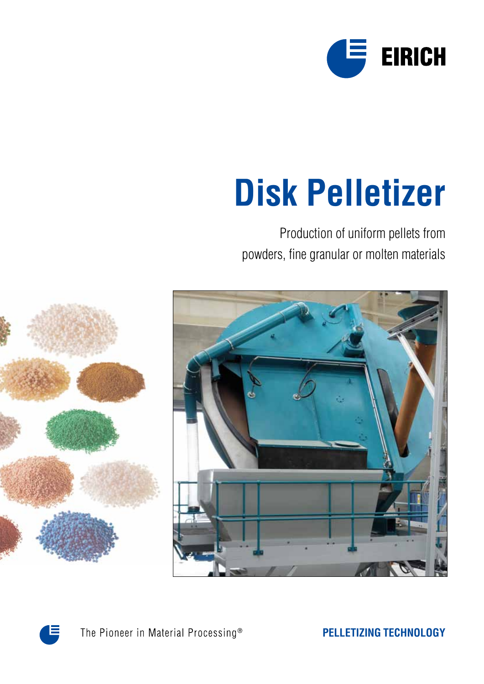

# **Disk Pelletizer**

Production of uniform pellets from powders, fine granular or molten materials





The Pioneer in Material Processing®

**PELLETIZING TECHNOLOGY**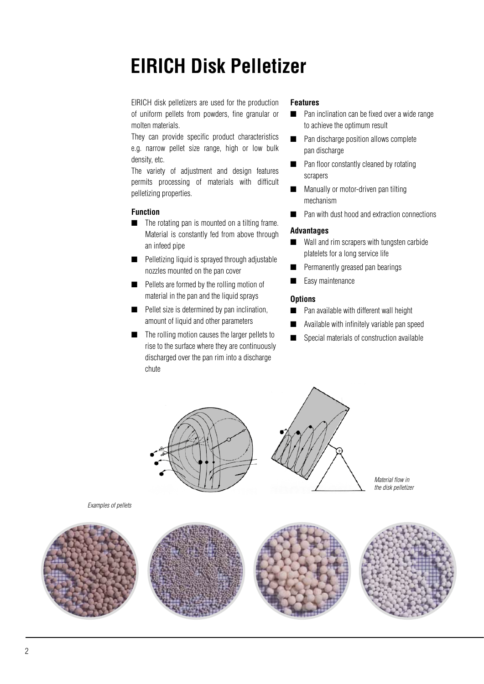## **EIRICH Disk Pelletizer**

EIRICH disk pelletizers are used for the production of uniform pellets from powders, fine granular or molten materials.

They can provide specific product characteristics e.g. narrow pellet size range, high or low bulk density, etc.

The variety of adjustment and design features permits processing of materials with difficult pelletizing properties.

#### **Function**

*Examples of pellets*

- $\blacksquare$  The rotating pan is mounted on a tilting frame. Material is constantly fed from above through an infeed pipe
- $\blacksquare$  Pelletizing liquid is sprayed through adjustable nozzles mounted on the pan cover
- $\blacksquare$  Pellets are formed by the rolling motion of material in the pan and the liquid sprays
- $\blacksquare$  Pellet size is determined by pan inclination, amount of liquid and other parameters
- $\blacksquare$  The rolling motion causes the larger pellets to rise to the surface where they are continuously discharged over the pan rim into a discharge chute

#### **Features**

- $\blacksquare$  Pan inclination can be fixed over a wide range to achieve the optimum result
- $\blacksquare$  Pan discharge position allows complete pan discharge
- $\blacksquare$  Pan floor constantly cleaned by rotating scrapers
- Manually or motor-driven pan tilting mechanism
- Pan with dust hood and extraction connections

#### **Advantages**

- $\blacksquare$  Wall and rim scrapers with tungsten carbide platelets for a long service life
- **n** Permanently greased pan bearings
- Easy maintenance

#### **Options**

- **n** Pan available with different wall height
- $\blacksquare$  Available with infinitely variable pan speed
- $\Box$  Special materials of construction available



*Material flow in the disk pelletizer*

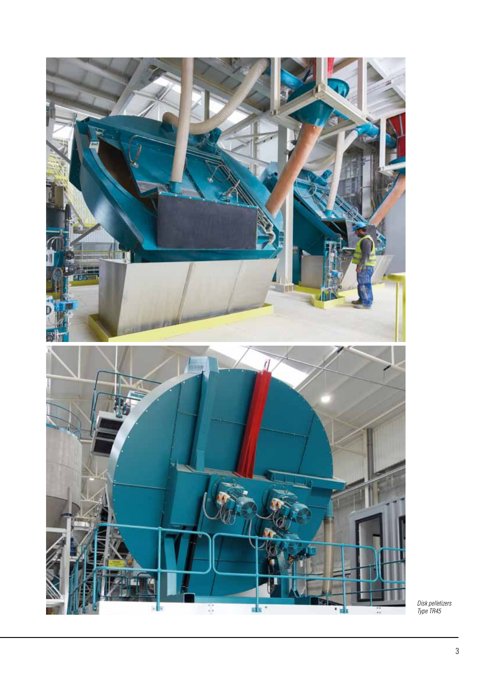

*Disk pelletizers Type TR45*